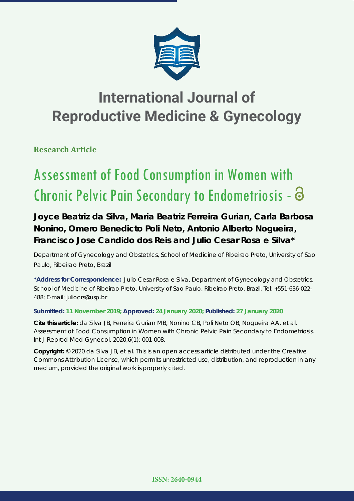

## **International Journal of Reproductive Medicine & Gynecology**

**Research Article**

# Assessment of Food Consumption in Women with Chronic Pelvic Pain Secondary to Endometriosis -

## **Joyce Beatriz da Silva, Maria Beatriz Ferreira Gurian, Carla Barbosa Nonino, Omero Benedicto Poli Neto, Antonio Alberto Nogueira, Francisco Jose Candido dos Reis and Julio Cesar Rosa e Silva\***

*Department of Gynecology and Obstetrics, School of Medicine of Ribeirao Preto, University of Sao Paulo, Ribeirao Preto, Brazil*

**\*Address for Correspondence:** Julio Cesar Rosa e Silva, Department of Gynecology and Obstetrics, School of Medicine of Ribeirao Preto, University of Sao Paulo, Ribeirao Preto, Brazil, Tel: +551-636-022- 488; E-mail: juliocrs@usp.br

### **Submitted: 11 November 2019; Approved: 24 January 2020; Published: 27 January 2020**

**Cite this article:** da Silva JB, Ferreira Gurian MB, Nonino CB, Poli Neto OB, Nogueira AA, et al. Assessment of Food Consumption in Women with Chronic Pelvic Pain Secondary to Endometriosis. Int J Reprod Med Gynecol. 2020;6(1): 001-008.

**Copyright:** © 2020 da Silva JB, et al. This is an open access article distributed under the Creative Commons Attribution License, which permits unrestricted use, distribution, and reproduction in any medium, provided the original work is properly cited.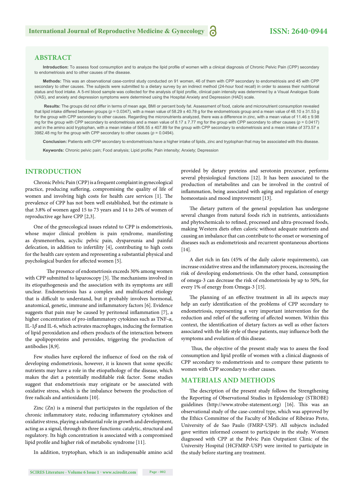#### **ABSTRACT**

Introduction: To assess food consumption and to analyze the lipid profile of women with a clinical diagnosis of Chronic Pelvic Pain (CPP) secondary to endometriosis and to other causes of the disease.

**Methods:** This was an observational case-control study conducted on 91 women, 46 of them with CPP secondary to endometriosis and 45 with CPP secondary to other causes. The subjects were submitted to a dietary survey by an indirect method (24-hour food recall) in order to assess their nutritional status and food intake. A 5-ml blood sample was collected for the analysis of lipid profile, clinical pain intensity was determined by a Visual Analogue Scale (VAS), and anxiety and depression symptoms were determined using the Hospital Anxiety and Depression (HAD) scale.

 **Results:** The groups did not differ in terms of mean age, BMI or percent body fat. Assessment of food, calorie and micronutrient consumption revealed that lipid intake differed between groups ( $p = 0.0347$ ), with a mean value of 58.29 ± 40.78 g for the endometriosis group and a mean value of 48.10 ± 31.53 g for the group with CPP secondary to other causes. Regarding the micronutrients analyzed, there was a difference in zinc, with a mean value of 11.46 ± 9.98 mg for the group with CPP secondary to endometriosis and a mean value of  $8.17 \pm 7.77$  mg for the group with CPP secondary to other causes ( $p = 0.0417$ ) and in the amino acid tryptophan, with a mean intake of 506.55 ± 407.89 for the group with CPP secondary to endometriosis and a mean intake of 373.57 ± 3982.48 mg for the group with CPP secondary to other causes ( $p = 0.0494$ ).

**Conclusion:** Patients with CPP secondary to endometriosis have a higher intake of lipids, zinc and tryptophan that may be associated with this disease.

Keywords: Chronic pelvic pain; Food analysis; Lipid profile; Pain intensity; Anxiety; Depression

#### **INTRODUCTION**

Chronic Pelvic Pain (CPP) is a frequent complaint in gynecological practice, producing suffering, compromising the quality of life of women and involving high costs for health care services [1]. The prevalence of CPP has not been well established, but the estimate is that 3.8% of women aged 15 to 73 years and 14 to 24% of women of reproductive age have CPP [2,3].

One of the gynecological issues related to CPP is endometriosis, whose major clinical problem is pain syndrome, manifesting as dysmenorrhea, acyclic pelvic pain, dyspareunia and painful defecation, in addition to infertility [4], contributing to high costs for the health care system and representing a substantial physical and psychological burden for affected women [5].

The presence of endometriosis exceeds 30% among women with CPP submitted to laparoscopy [3]. The mechanisms involved in its etiopathogenesis and the association with its symptoms are still unclear. Endometriosis has a complex and multifaceted etiology that is difficult to understand, but it probably involves hormonal, anatomical, genetic, immune and inflammatory factors [6]. Evidence suggests that pain may be caused by peritoneal inflammation [7], a higher concentration of pro-inflammatory cytokines such as TNF-*α*, IL-1*β* and IL-6, which activates macrophages, inducing the formation of lipid peroxidation and others products of the interaction between the apolipoproteins and peroxides, triggering the production of antibodies [8,9].

Few studies have explored the influence of food on the risk of developing endometriosis, however, it is known that some specific nutrients may have a role in the etiopathology of the disease, which makes the diet a potentially modifiable risk factor. Some studies suggest that endometriosis may originate or be associated with oxidative stress, which is the imbalance between the production of free radicals and antioxidants [10].

Zinc (Zn) is a mineral that participates in the regulation of the chronic inflammatory state, reducing inflammatory cytokines and oxidative stress, playing a substantial role in growth and development, acting as a signal, through its three functions: catalytic, structural and regulatory. Its high concentration is associated with a compromised lipid profile and higher risk of metabolic syndrome [11].

In addition, tryptophan, which is an indispensable amino acid

**SCIRES Literature - Volume 6 Issue 1 - www.scireslit.com Page - 002**

provided by dietary proteins and serotonin precursor, performs several physiological functions [12]. It has been associated to the production of metabolites and can be involved in the control of inflammation, being associated with aging and regulation of energy homeostasis and mood improvement [13].

The dietary pattern of the general population has undergone several changes from natural foods rich in nutrients, antioxidants and phytochemicals to refined, processed and ultra-processed foods, making Western diets often caloric without adequate nutrients and causing an imbalance that can contribute to the onset or worsening of diseases such as endometriosis and recurrent spontaneous abortions [14].

A diet rich in fats (45% of the daily calorie requirements), can increase oxidative stress and the inflammatory process, increasing the risk of developing endometriosis. On the other hand, consumption of omega-3 can decrease the risk of endometriosis by up to 50%, for every 1% of energy from Omega-3 [15].

The planning of an effective treatment in all its aspects may help an early identification of the problems of CPP secondary to endometriosis, representing a very important intervention for the reduction and relief of the suffering of affected women. Within this context, the identification of dietary factors as well as other factors associated with the life style of these patients, may influence both the symptoms and evolution of this disease.

Thus, the objective of the present study was to assess the food consumption and lipid profile of women with a clinical diagnosis of CPP secondary to endometriosis and to compare these patients to women with CPP secondary to other causes.

#### **MATERIALS AND METHODS**

The description of the present study follows the Strengthening the Reporting of Observational Studies in Epidemiology (STROBE) guidelines (http://www.strobe-statement.org) [16]. This was an observational study of the case-control type, which was approved by the Ethics Committee of the Faculty of Medicine of Ribeirao Preto, University of de Sao Paulo (FMRP-USP). All subjects included gave written informed consent to participate in the study. Women diagnosed with CPP at the Pelvic Pain Outpatient Clinic of the University Hospital (HCFMRP-USP) were invited to participate in the study before starting any treatment.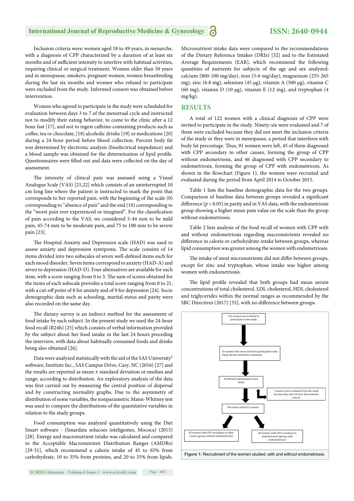Inclusion criteria were: women aged 18 to 49 years, in menarche, with a diagnosis of CPP characterized by a duration of at least six months and of sufficient intensity to interfere with habitual activities, requiring clinical or surgical treatment. Women older than 50 years and in menopause, smokers, pregnant women, women breastfeeding during the last six months and women who refused to participate were excluded from the study. Informed consent was obtained before intervention.

Women who agreed to participate in the study were scheduled for evaluation between days 3 to 7 of the menstrual cycle and instructed not to modify their eating behavior, to come to the clinic after a 12 hour fast [17], and not to ingest caffeine-containing products such as coffee, tea or chocolate, [18] alcoholic drinks [19] or medications [20] during a 24-hour period before blood collection. Percent body fat was determined by electronic analysis (bioelectrical impedance) and a blood sample was obtained for the determination of lipid profile. Questionnaires were filled out and data were collected on the day of assessment.

The intensity of clinical pain was assessed using a Visual Analogue Scale (VAS) [21,22] which consists of an uninterrupted 10 cm long line where the patient is instructed to mark the point that corresponds to her reported pain, with the beginning of the scale (0) corresponding to "absence of pain" and the end (10) corresponding to the "worst pain ever experienced or imagined". For the classification of pain according to the VAS, we considered 5-44 mm to be mild pain, 45-74 mm to be moderate pain, and 75 to 100 mm to be severe pain [23].

The Hospital Anxiety and Depression scale (HAD) was used to assess anxiety and depression symtpoms. The scale consists of 14 items divided into two subscales of seven well-defined items each for each mood disorder. Seven items correspond to anxiety (HAD-A) and seven to depression (HAD-D). Four alternatives are available for each item, with a score ranging from 0 to 3. The sum of scores obtained for the items of each subscale provides a total score ranging from 0 to 21, with a cut-off point of 8 for anxiety and of 9 for depression [24]. Socio demographic data such as schooling, marital status and parity were also recorded on the same day.

The dietary survey is an indirect method for the assessment of food intake by each subject. In the present study we used the 24-hour food recall (R24h) [25] which consists of verbal information provided by the subject about her food intake in the last 24 hours preceding the interview, with data about habitually consumed foods and drinks being also obtained [26].

Data were analyzed statistically with the aid of the SAS University® software, Institute Inc., SAS Campus Drive, Cary, NC (2016) [27] and the results are reported as mean ± standard deviation or median and range, according to distribution. An exploratory analysis of the data was first carried out by measuring the central position of dispersal and by constructing normality graphs. Due to the asymmetry of distribution of some variables, the nonparametric Mann-Whitney test was used to compare the distributions of the quantitative variables in relation to the study groups.

Food consumption was analyzed quantitatively using the Diet Smart software - (Smardata solucoes inteligentes, Mococa) (2015) [28]. Energy and macronutrient intake was calculated and compared to the Acceptable Macronutrient Distribution Ranges (AMDRs) [29-31], which recommend a calorie intake of 45 to 65% from carbohydrate, 10 to 35% from proteins, and 20 to 35% from lipids. Micronutrient intake data were compared to the recommendations of the Dietary Reference Intakes (DRIs) [32] and to the Estimated Average Requirements (EAR), which recommend the following quantities of nutrients for subjects of the age and sex analyzed: calcium (800-100 mg/day), iron (5-6 mg/day), magnesium (255-265 mg), zinc (6.8 mg), selenium (45 μg), vitamin A (500 μg), vitamin C (60 mg), vitamin D (10 μg), vitamin E (12 mg), and tryptophan (4 mg/kg).

#### **RESULTS**

A total of 122 women with a clinical diagnosis of CPP were invited to participate in the study. Ninety-six were evaluated and 7 of them were excluded because they did not meet the inclusion criteria of the study or they were in menopause, a period that interferes with body fat percentage. Thus, 91 women were left, 45 of them diagnosed with CPP secondary to other causes, forming the group of CPP without endometriosis, and 46 diagnosed with CPP secondary to endometriosis, forming the group of CPP with endometriosis. As shown in the flowchart (Figure 1), the women were recruited and evaluated during the period from April 2014 to October 2015.

Table 1 lists the baseline demographic data for the two groups. Comparison of baseline data between groups revealed a significant difference ( $p < 0.05$ ) in parity and in VAS data, with the endometriosis group showing a higher mean pain value on the scale than the group without endometriosis.

Table 2 lists analysis of the food recall of women with CPP with and without endometriosis regarding macronutrients revealed no difference in calorie or carbohydrate intake between groups, whereas lipid consumption was greater among the women with endometriosis.

The intake of most micronutrients did not differ between groups, except for zinc and tryptophan, whose intake was higher among women with endometriosis.

The lipid profile revealed that both groups had mean serum concentrations of total cholesterol, LDL cholesterol, HDL cholesterol and triglycerides within the normal ranges as recommended by the SBC Directives (2017) [33], with no difference between groups.

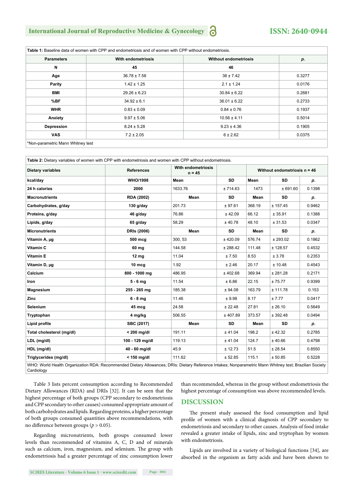| <b>Parameters</b> | With endometriosis | <b>Without endometriosis</b> | р.     |
|-------------------|--------------------|------------------------------|--------|
| N                 | 45                 | 46                           |        |
| Age               | $36.78 \pm 7.58$   | $38 \pm 7.42$                | 0.3277 |
| Parity            | $1.42 \pm 1.25$    | $2.1 \pm 1.24$               | 0.0176 |
| <b>BMI</b>        | $29.26 \pm 6.23$   | $30.84 \pm 6.22$             | 0.2681 |
| %BF               | $34.92 \pm 6.1$    | $36.01 \pm 6.22$             | 0.2733 |
| <b>WHR</b>        | $0.83 \pm 0.09$    | $0.84 \pm 0.76$              | 0.1937 |
| Anxiety           | $9.97 \pm 5.06$    | $10.56 \pm 4.11$             | 0.5014 |
| Depression        | $8.24 \pm 5.28$    | $9.23 \pm 4.36$              | 0.1905 |
| <b>VAS</b>        | $7.2 \pm 2.05$     | $6 \pm 2.62$                 | 0.0375 |

**Table 2:** Dietary variables of women with CPP with endometriosis and women with CPP without endometriosis.

| <b>Dietary variables</b>                                                                                                                                              | <b>References</b> | <b>With endometriosis</b><br>$n = 45$ |            | Without endometriosis $n = 46$ |           |        |
|-----------------------------------------------------------------------------------------------------------------------------------------------------------------------|-------------------|---------------------------------------|------------|--------------------------------|-----------|--------|
| kcal/day                                                                                                                                                              | <b>WHO/1998</b>   | Mean                                  | <b>SD</b>  | Mean                           | <b>SD</b> | p.     |
| 24 h calories                                                                                                                                                         | 2000              | 1633.76                               | ±714.63    | 1473                           | ± 691.60  | 0.1398 |
| <b>Macronutrients</b>                                                                                                                                                 | <b>RDA (2002)</b> | Mean                                  | <b>SD</b>  | Mean                           | <b>SD</b> | р.     |
| Carbohydrates, g/day                                                                                                                                                  | $130$ g/day       | 201.73                                | ± 97.61    | 368.19                         | ± 157.45  | 0.9462 |
| Proteins, g/day                                                                                                                                                       | 46 g/day          | 76.86                                 | ± 42.09    | 66.12                          | ± 35.91   | 0.1388 |
| Lipids, g/day                                                                                                                                                         | 65 g/day          | 58.29                                 | ± 40.78    | 48.10                          | ± 31.53   | 0.0347 |
| <b>Micronutrients</b>                                                                                                                                                 | DRIs (2006)       | Mean                                  | SD         | Mean                           | <b>SD</b> | р.     |
| Vitamin A, µg                                                                                                                                                         | 500 mcg           | 300, 53                               | $±$ 420.09 | 576.74                         | ± 293.02  | 0.1862 |
| Vitamin C                                                                                                                                                             | 60 mg             | 144.58                                | ± 288.42   | 111.48                         | ± 128.57  | 0.4532 |
| <b>Vitamin E</b>                                                                                                                                                      | 12 <sub>mg</sub>  | 11.04                                 | ± 7.50     | 8.53                           | ± 3.78    | 0.2353 |
| Vitamin D, µg                                                                                                                                                         | 10 mcg            | 1.92                                  | ± 2.46     | 20.17                          | ± 10.48   | 0.4543 |
| Calcium                                                                                                                                                               | 800 - 1000 mg     | 486.95                                | ± 402.68   | 369.94                         | ± 281.28  | 0.2171 |
| Iron                                                                                                                                                                  | $5 - 6$ mg        | 11.54                                 | ± 6.86     | 22.15                          | ±75.77    | 0.9399 |
| Magnesium                                                                                                                                                             | 255 - 265 mg      | 185.38                                | ± 94.08    | 163.79                         | ± 111.78  | 0.153  |
| Zinc                                                                                                                                                                  | $6 - 8$ mg        | 11.46                                 | ± 9.98     | 8.17                           | ± 7.77    | 0.0417 |
| <b>Selenium</b>                                                                                                                                                       | 45 mcg            | 24.58                                 | ± 22.48    | 27.81                          | ± 26.10   | 0.5649 |
| Tryptophan                                                                                                                                                            | 4 mg/kg           | 506.55                                | ± 407.89   | 373.57                         | ± 392.48  | 0.0494 |
| Lipid profile                                                                                                                                                         | SBC (2017)        | Mean                                  | <b>SD</b>  | Mean                           | <b>SD</b> | р.     |
| Total cholesterol (mg/dl)                                                                                                                                             | $< 200$ ma/dl     | 191.11                                | ± 41.04    | 198.2                          | ± 42.32   | 0.2785 |
| LDL (mg/dl)                                                                                                                                                           | 100 - 129 mg/dl   | 119.13                                | ± 41.04    | 124.7                          | ± 40.66   | 0.4798 |
| HDL (mg/dl)                                                                                                                                                           | 40 - 60 mg/dl     | 45.9                                  | ± 12.73    | 51.5                           | ± 28.54   | 0.8550 |
| Triglycerides (mg/dl)                                                                                                                                                 | $< 150$ mg/dl     | 111.62                                | ± 52.85    | 115.1                          | ± 50.85   | 0.5228 |
| WHO: World Health Organization RDA: Recommended Dietary Allowances; DRIs: Dietary Reference Intakes; Nonparametric Mann Whitney test; Brazilian Society<br>Cardiology |                   |                                       |            |                                |           |        |

Table 3 lists percent consumption according to Recommended Dietary Allowances (RDA) and DRIs [32]. It can be seen that the highest percentage of both groups (CPP secondary to endometriosis and CPP secondary to other causes) consumed appropriate amount of both carbohydrates and lipids. Regarding proteins, a higher percentage of both groups consumed quantities above recommendations, with no difference between groups ( $p > 0.05$ ).

Regarding micronutrients, both groups consumed lower levels than recommended of vitamins A, C, D and of minerals such as calcium, iron, magnesium, and selenium. The group with endometriosis had a greater percentage of zinc consumption lower

than recommended, whereas in the group without endometriosis the highest percentage of consumption was above recommended levels.

#### **DISCUSSION**

The present study assessed the food consumption and lipid profile of women with a clinical diagnosis of CPP secondary to endometriosis and secondary to other causes. Analysis of food intake revealed a greater intake of lipids, zinc and tryptophan by women with endometriosis.

Lipids are involved in a variety of biological functions [34], are absorbed in the organism as fatty acids and have been shown to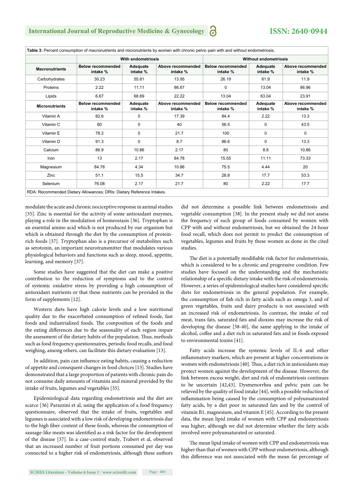| <b>Macronutrients</b> |                                      | <b>With endometriosis</b> |                               |                                      | <b>Without endometriosis</b> |                               |  |  |
|-----------------------|--------------------------------------|---------------------------|-------------------------------|--------------------------------------|------------------------------|-------------------------------|--|--|
|                       | <b>Below recommended</b><br>intake % | Adequate<br>intake %      | Above recommended<br>intake % | <b>Below recommended</b><br>intake % | Adequate<br>intake %         | Above recommended<br>intake % |  |  |
| Carbohydrates         | 30.23                                | 55.81                     | 13.95                         | 26.19                                | 61.9                         | 11.9                          |  |  |
| Proteins              | 2.22                                 | 11,11                     | 86.67                         | 0                                    | 13.04                        | 86.96                         |  |  |
| Lipids                | 6.67                                 | 68.89                     | 22.22                         | 13.04                                | 63.04                        | 23.91                         |  |  |
| <b>Micronutrients</b> | <b>Below recommended</b><br>intake % | Adequate<br>intake %      | Above recommended<br>intake % | <b>Below recommended</b><br>intake % | Adequate<br>intake %         | Above recommended<br>intake % |  |  |
| Vitamin A             | 82.6                                 | 0                         | 17.39                         | 84.4                                 | 2.22                         | 13.3                          |  |  |
| Vitamin C             | 60                                   | 0                         | 40                            | 56.5                                 | 0                            | 43.5                          |  |  |
| Vitamin E             | 78.2                                 | 0                         | 21.7                          | 100                                  | 0                            | 0                             |  |  |
| Vitamin D             | 91.3                                 | 0                         | 8.7                           | 86.6                                 | 0                            | 13.3                          |  |  |
| Calcium               | 86.9                                 | 10.86                     | 2.17                          | 80                                   | 8.8                          | 10.86                         |  |  |
| Iron                  | 13                                   | 2.17                      | 84.78                         | 15.55                                | 11.11                        | 73.33                         |  |  |
| Magnesium             | 84.78                                | 4.34                      | 10.86                         | 75.5                                 | 4.44                         | 20                            |  |  |
| Zinc                  | 51.1                                 | 15.5                      | 34.7                          | 28.8                                 | 17.7                         | 53.3                          |  |  |
| Selenium              | 76.08                                | 2.17                      | 21.7                          | 80                                   | 2.22                         | 17.7                          |  |  |

**Table 3:** Percent consumption of macronutrients and micronutrients by women with chronic pelvic pain with and without endometriosis.

modulate the acute and chronic nociceptive response in animal studies [35]. Zinc is essential for the activity of some antioxidant enzymes, playing a role in the modulation of homeostasis [36]. Tryptophan is an essential amino acid which is not produced by our organism but which is obtained through the diet by the consumption of proteinrich foods [37]. Tryptophan also is a precursor of metabolites such as serotonin, an important neurotransmitter that modulates various physiological behaviors and functions such as sleep, mood, appetite, learning, and memory [37].

Some studies have suggested that the diet can make a positive contribution to the reduction of symptoms and to the control of systemic oxidative stress by providing a high consumption of antioxidant nutrients or that these nutrients can be provided in the form of supplements [12].

Western diets have high calorie levels and a low nutritional quality due to the exacerbated consumption of refined foods, fast foods and industrialized foods. The composition of the foods and the eating differences due to the seasonality of each region impair the assessment of the dietary habits of the population. Thus, methods such as food frequency questionnaires, periodic food recalls, and food weighing, among others, can facilitate this dietary evaluation [13].

In addition, pain can influence eating habits, causing a reduction of appetite and consequent changes in food choices [13]. Studies have demonstrated that a large proportion of patients with chronic pain do not consume daily amounts of vitamins and mineral provided by the intake of fruits, legumes and vegetables [35].

Epidemiological data regarding endometriosis and the diet are scarce [36] Parazzini et al, using the application of a food frequency questionnaire, observed that the intake of fruits, vegetables and legumes is associated with a low risk of developing endometriosis due to the high fiber content of these foods, whereas the consumption of sausage-like meats was identified as a risk factor for the development of the disease [37]. In a case-control study, Trabert et al, observed that an increased number of fruit portions consumed per day was connected to a higher risk of endometriosis, although these authors

did not determine a possible link between endometriosis and vegetable consumption [38]. In the present study we did not assess the frequency of each group of foods consumed by women with CPP with and without endometriosis, but we obtained the 24-hour food recall, which does not permit to predict the consumption of vegetables, legumes and fruits by these women as done in the cited studies.

The diet is a potentially modifiable risk factor for endometriosis, which is considered to be a chronic and progressive condition. Few studies have focused on the understanding and the mechanistic relationship of a specific dietary intake with the risk of endometriosis. However, a series of epidemiological studies have considered specific diets for endometriosis in the general population. For example, the consumption of fish rich in fatty acids such as omega 3, and of green vegetables, fruits and dairy products is not associated with an increased risk of endometriosis. In contrast, the intake of red meat, trans fats, saturated fats and dioxins may increase the risk of developing the disease [38-40], the same applying to the intake of alcohol, coffee and a diet rich in saturated fats and in foods exposed to environmental toxins [41].

Fatty acids increase the systemic levels of IL-6 and other inflammatory markers, which are present at higher concentrations in women with endometriosis [40]. Thus, a diet rich in antioxidants may protect women against the development of the disease. However, the link between excess weight, diet and risk of endometriosis continues to be uncertain [42,43]. Dysmenorrhea and pelvic pain can be relieved by the quality of food intake [44], with a possible reduction of inflammation being caused by the consumption of polyunsaturated fatty acids, by a diet poor in saturated fats and by the control of vitamin B1, magnesium, and vitamin E [45]. According to the present data, the mean lipid intake of women with CPP and endometriosis was higher, although we did not determine whether the fatty acids involved were polyunsaturated or saturated.

The mean lipid intake of women with CPP and endometriosis was higher than that of women with CPP without endometriosis, although this difference was not associated with the mean fat percentage of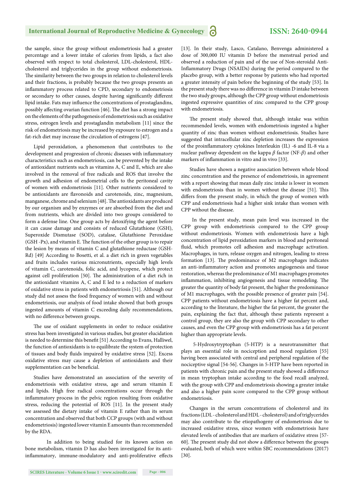### **International Journal of Reproductive Medicine & Gynecology** *C***<sub>2</sub> 1958N: 2640-0944**

the sample, since the group without endometriosis had a greater percentage and a lower intake of calories from lipids, a fact also observed with respect to total cholesterol, LDL-cholesterol, HDLcholesterol and triglycerides in the group without endometriosis. The similarity between the two groups in relation to cholesterol levels and their fractions, is probably because the two groups presents an inflammatory process related to CPD, secondary to endometriosis or secondary to other causes, despite having significantly different lipid intake. Fats may influence the concentrations of prostaglandins, possibly affecting ovarian function [46]. The diet has a strong impact on the elements of the pathogenesis of endometriosis such as oxidative stress, estrogen levels and prostaglandin metabolism [11] since the risk of endometriosis may be increased by exposure to estrogen and a fat-rich diet may increase the circulation of estrogens [47].

Lipid peroxidation, a phenomenon that contributes to the development and progression of chronic diseases with inflammatory characteristics such as endometriosis, can be prevented by the intake of antioxidant nutrients such as vitamins A, C and E, which are also involved in the removal of free radicals and ROS that involve the growth and adhesion of endometrial cells to the peritoneal cavity of women with endometriosis [11]. Other nutrients considered to be antioxidants are flavonoids and carotenoids, zinc, magnesium, manganese, chrome and selenium [48]. The antioxidants are produced by our organism and by enzymes or are absorbed from the diet and from nutrients, which are divided into two groups considered to form a defense line. One group acts by detoxifying the agent before it can cause damage and consists of reduced Glutathione (GSH), Superoxide Dismutase (SOD), catalase, Glutathione Peroxidase (GSH -Px), and vitamin E. The function of the other group is to repair the lesion by means of vitamin C and glutathione reductase (GSH-Rd) [49] According to Bosetti, et al. a diet rich in green vegetables and fruits includes various micronutrients, especially high levels of vitamin C, carotenoids, folic acid, and lycopene, which protect against cell proliferation [50]. The administration of a diet rich in the antioxidant vitamins A, C and E led to a reduction of markers of oxidative stress in patients with endometriosis [51]. Although our study did not assess the food frequency of women with and without endometriosis, our analysis of food intake showed that both groups ingested amounts of vitamin C exceeding daily recommendations, with no difference between groups.

The use of oxidant supplements in order to reduce oxidative stress has been investigated in various studies, but greater elucidation is needed to determine this benefit [51] According to Evans, Halliwel, the function of antioxidants is to equilibrate the system of protection of tissues and body fluids impaired by oxidative stress [52]. Excess oxidative stress may cause a depletion of antioxidants and their supplementation can be beneficial.

Studies have demonstrated an association of the severity of endometriosis with oxidative stress, age and serum vitamin E and lipids. High free radical concentrations occur through the inflammatory process in the pelvic region resulting from oxidative stress, reducing the potential of ROS [11]. In the present study we assessed the dietary intake of vitamin E rather than its serum concentration and observed that both CCP groups (with and without endometriosis) ingested lower vitamin E amounts than recommended by the RDA.

 In addition to being studied for its known action on bone metabolism, vitamin D has also been investigated for its antiinflammatory, immune-modulatory and anti-proliferative effects [13]. In their study, Lasco, Catalano, Benvenga administered a dose of 300,000 IU vitamin D before the menstrual period and observed a reduction of pain and of the use of Non-steroidal Anti-Inflammatory Drugs (NSAIDs) during the period compared to the placebo group, with a better response by patients who had reported a greater intensity of pain before the beginning of the study [53]. In the present study there was no difference in vitamin D intake between the two study groups, although the CPP group without endometriosis ingested expressive quantities of zinc compared to the CPP group with endometriosis.

The present study showed that, although intake was within recommended levels, women with endometriosis ingested a higher quantity of zinc than women without endometriosis. Studies have suggested that intracellular zinc depletion increases the expression of the proinflammatory cytokines Interleukin (IL) -6 and IL-8 via a nuclear pathway dependent on the kappa *β* factor (NF-*β*) and other markers of inflammation in vitro and in vivo [33].

Studies have shown a negative association between whole blood zinc concentration and the presence of endometriosis, in agreement with a report showing that mean daily zinc intake is lower in women with endometriosis than in women without the disease [51]. This differs from the present study, in which the group of women with CPP and endometriosis had a higher sink intake than women with CPP without the disease.

 In the present study, mean pain level was increased in the CPP group with endometriosis compared to the CPP group without endometriosis. Women with endometriosis have a high concentration of lipid peroxidation markers in blood and peritoneal fluid, which promotes cell adhesion and macrophage activation. Macrophages, in turn, release oxygen and nitrogen, leading to stress formation [13]. The predominance of M2 macrophages indicates an anti-inflammatory action and promotes angiogenesis and tissue restoration, whereas the predominance of M1 macrophages promotes inflammation, inhibiting angiogenesis and tissue remodeling. The greater the quantity of body fat present, the higher the predominance of M1 macrophages, with the possible presence of greater pain [54]. CPP patients without endometriosis have a higher fat percent and, according to the literature, the higher the fat percent, the greater the pain, explaining the fact that, although these patients represent a control group, they are also the group with CPP secondary to other causes, and even the CPP group with endometriosis has a fat percent higher than appropriate levels.

 5-Hydroxytryptophan (5-HTP) is a neurotransmitter that plays an essential role in nociception and mood regulation [55] having been associated with central and peripheral regulation of the nociceptive signal [54-56]. Changes in 5-HTP have been reported in patients with chronic pain and the present study showed a difference in mean tryptophan intake according to the food recall analyzed, with the group with CPP and endometriosis showing a greater intake and also a higher pain score compared to the CPP group without endometriosis.

Changes in the serum concentrations of cholesterol and its fractions (LDL - cholesterol and HDL - cholesterol) and of triglycerides may also contribute to the etiopathogeny of endometriosis due to increased oxidative stress, since women with endometriosis have elevated levels of antibodies that are markers of oxidative stress [57- 60]. The present study did not show a difference between the groups evaluated, both of which were within SBC recommendations (2017) [30].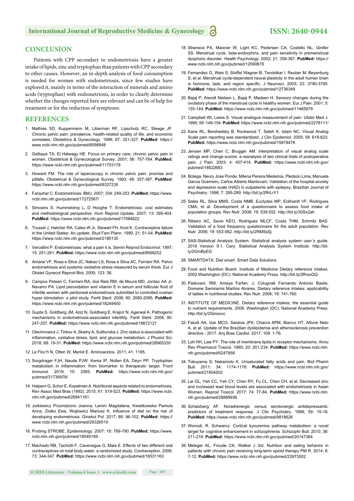#### **CONCLUSION**

Patients with CPP secondary to endometriosis have a greater intake of lipids, zinc and tryptophan than patients with CPP secondary to other causes. However, an in-depth analysis of food consumption is needed for women with endometriosis, since few studies have explored it, mainly in terms of the interaction of minerals and amino acids (tryptophan) with endometriosis, in order to clearly determine whether the changes reported here are relevant and can be of help for treatment or for the reduction of symptoms.

#### **REFERENCES**

- 1. Mathias SD, Kuppermann M, Liberman RF, Lipschutz RC, Steege JF. Chronic pelvic pain: prevalence, health-related quality of life, and economic correlates. Obstetrics & Gynecology. 1996; 87: 321-327. **PubMed:** https:// www.ncbi.nlm.nih.gov/pubmed/8598948
- 2. Gelbaya TA, El Halwagy HE. Focus on primary care: chronic pelvic pain in women. Obstetrical & Gynecological Survey. 2001; 56: 757-764. **PubMed:**  https://www.ncbi.nlm.nih.gov/pubmed/11753178
- 3. Howard FM. The role of laparoscopy in chronic pelvic pain: promise and pitfalls. Obstetrical & Gynecological Survey. 1993; 48: 357-387. **PubMed:**  https://www.ncbi.nlm.nih.gov/pubmed/8327235
- 4. Farquhar C. Endometriosis. BMJ. 2007; 334: 249-253. **PubMed:** https://www. ncbi.nlm.nih.gov/pubmed/17272567/
- 5. Simoens S, Hummelshoj L, D Hooghe T. Endometriosis: cost estimates and methodological perspective. Hum Reprod Update. 2007; 13: 395-404. **PubMed:** https://www.ncbi.nlm.nih.gov/pubmed/17584822
- 6. Trussel J, Hatcher RA, Cates W Jr, Stewart FH, Kost K. Contraceptive failure in the United States: An update. Stud Fam Plann. 1990; 21: 51-54. **PubMed:**  https://www.ncbi.nlm.nih.gov/pubmed/2180135
- 7. Vercellini P. Endometriosis: what a pain it is. Semin Reprod Endocrinol. 1997; 15: 251-261. **PubMed:** https://www.ncbi.nlm.nih.gov/pubmed/8566252
- 8. Amaral VF, Rosa e Silva JC, Nakao LS, Rosa e Silva AC, Ferriani RA. Pelvic endometriosis and systemic oxidative stress measured by serum thiols. Eur J Obstet Gynecol Reprod Biol. 2005; 123: 38.
- 9. Campos Petean C, Ferriani RA, dos Reis RM, de Moura MD, Jordao AA Jr, Navarro PA. Lipid peroxidation and vitamin E in serum and follicular fluid of infertile women with peritoneal endometriosis submitted to controlled ovarian hyper stimulation: a pilot study. Fertil Steril. 2008; 90: 2080-2085. **PubMed:**  https://www.ncbi.nlm.nih.gov/pubmed/18249400
- 10. Gupta S, Goldberg JM, Aziz N, Goldberg E, Krajcir N, Agarwal A. Pathogenic mechanisms in endometriosis-associated infertility. Fertil Steril. 2008; 90: 247-257. **PubMed:** https://www.ncbi.nlm.nih.gov/pubmed/18672121
- 11. Olechnowicz J, Tinkov A, Skalny A, Suliburska J. Zinc status is associated with inflammation, oxidative stress, lipid, and glucose metabolism. J Physiol Sci. 2018; 68: 19-31. **PubMed:** https://www.ncbi.nlm.nih.gov/pubmed/28965330
- 12. Le Floc'h N, Otten W, Merlot E. Aminoacidos. 2011; 41: 1195.
- 13. Sorgdrager FJH, Naude PJW, Kema IP, Nollen EA, Deyn PP. Tryptophan metabolism in inflammation: from biomarker to therapeutic target. Front Immunol. 2019; 10: 2565. **PubMed:** https://www.ncbi.nlm.nih.gov/ pubmed/31736978/
- 14. Halpern G, Schor E, Kopelman A. Nutritional aspects related to endometriosis. Rev Assoc Med Bras (1992). 2015; 61: 519-523. **PubMed:** https://www.ncbi. nlm.nih.gov/pubmed/26841161
- 15. Jurkiewicz Przondziono Joanna, Lemm Magdalena, Kwiatkowska Pamula Anna, Ziolko Ewa, Wojtowicz Mariusz K. Influence of diet on the risk of developing endometriosis. Ginekol Pol. 2017; 88: 96-102. **PubMed:** https:// www.ncbi.nlm.nih.gov/pubmed/28326519
- 16. Probing STROBE. Epidemiology. 2007; 18: 789-790. **PubMed:** https://www. ncbi.nlm.nih.gov/pubmed/18049189
- 17. Machado RB, Tachotti F, Cavenague G, Maia E. Effects of two different oral contraceptives on total body water: a randomized study. Contraception. 2006; 73: 344-347. **PubMed:** https://www.ncbi.nlm.nih.gov/pubmed/16531163
- 18. Straneva PA, Maixner W, Light KC, Pedersen CA, Costello NL, Girdler SS. Menstrual cycle, beta-endorphins, and pain sensitivity in premenstrual dysphoric disorder. Health Psychology. 2002; 21: 358-367. **PubMed:** https:// www.ncbi.nlm.nih.gov/pubmed/12090678
- 19. Fernandez G, Weis S, Stoffel Wagner B, Tendolkar I, Reuber M, Beyenburg S, et al. Menstrual cycle-dependent neural plasticity in the adult human brain is hormone, task, and region specific. J Neurosci. 2003; 23: 3790-3795. **PubMed:** https://www.ncbi.nlm.nih.gov/pubmed/12736349
- 20. Bajaj P, Arendt Nielsen L, Bajaj P, Madsen H. Sensory changes during the ovulatory phase of the menstrual cycle in healthy women. Eur J Pain. 2001; 5: 135-144. **PubMed:** https://www.ncbi.nlm.nih.gov/pubmed/11465979
- 21. Campbell WI, Lewis S. Visual analogue measurement of pain. Ulster Med J. 1990; 59: 149-154. **PubMed:** https://www.ncbi.nlm.nih.gov/pubmed/2278111/
- 22. Kane RL, Bershadsky B, Rockwood T, Saleh K, Islam NC. Visual Analog Scale pain reporting was standardized. J Clin Epidemiol. 2005; 58: 618-623. **PubMed:** https://www.ncbi.nlm.nih.gov/pubmed/15878476
- 23. Jensen MP, Chen C, Brugger AM. Interpretation of visual analog scale ratings and change scores: a reanalysis of two clinical trials of postoperative pain. J Pain. 2003; 4: 407-414. **PubMed:** https://www.ncbi.nlm.nih.gov/ pubmed/14622683
- 24. Botega, Neury Jose Ponde, Milena Pereira Medeiros, Pledson Lima, Manuela Garcia Guerreiro, Carlos Alberto Mantovani. Validation of the hospital anxiety and depression scale (HAD) in outpatients with epilepsy. Brazilian Journal of Psychiatry. 1998; 7: 285-289. http://bit.ly/2RrLrY1
- 25. Sales RL, Silva MMS, Costa NMB, Euclydes MP, Eckhardt VF, Rodrigues CMA, et al. Development of a questionnaire to assess food intake of population groups. Rev Nutr. 2006; 19: 539-552. http://bit.ly/30Sx2ah
- 26. Ribeiro AC, Savio KEO, Rodrigues MLCF, Costa THM, Schmitz BAS. Validation of a food frequency questionnaire for the adult population. Rev Nutr. 2006; 19: 553-562. http://bit.ly/2RMSsSj
- 27. SAS-Statistical Analysis System. Statistical analysis system user´s guide. 2016 Version 9.1. Cary: Statistical Analysis System Institute. http://bit. ly/2GmByEG
- 28. SMARTDATA. Diet smart. Smart Data Solutions.
- 29. Food and Nutrition Board. Institute of Medicine Dietary reference intakes. 2002 Washington (DC): National Academy Press. http://bit.ly/2RrsxQQ
- 30. Padovani, RM, Amaya Farfan, J, Colugnati Fernando Antonio Basile, Domene Semiramis Martins Alvares. Dietary reference intakes: applicability of tables in nutritional studies. Rev Nutr. 2006; 19: 741-760.
- 31. INSTITUTE OF MEDICINE. Dietary reference intakes; the essential guide to nutrient requirements. 2006. Washington (DC): National Academy Press. http://bit.ly/2Gmsccc
- 32. Faludi AA, Izar MCO, Saraiva JFK, Chacra APM, Bianco HT, Afiune Neto A, et al. Update of the Brazilian dyslipidemia and atherosclerosis prevention directive - 2017. Arq Bras Cardiol. 2017; 109: 1-76.
- 33. Loh HH, Law PY. The role of membrane lipids in receptor mechanisms. Annu Rev Pharmacol Toxicol. 1980; 20: 201-234. **PubMed:** https://www.ncbi.nlm. nih.gov/pubmed/6247958
- 34. Tokuyama S, Nakamoto K. Unsaturated fatty acids and pain. Biol Pharm Bull. 2011; 34: 1174-1178. **PubMed:** https://www.ncbi.nlm.nih.gov/ pubmed/21804202
- 35. Lai GL, Yeh CC, Yeh CY, Chen RY, Fu CL, Chen CH, et al. Decreased zinc and incresead lead blood levels are associated with endometriosis in Asian Women. Reprod Toxicol. 2017; 74: 77-84. **PubMed:** https://www.ncbi.nlm. nih.gov/pubmed/28889936
- 36. Schatzberg AF. Noradrenergic versus serotonergic antidepressants: predictors of treatment response. J Clin Psychiatry. 1998; 59: 15-18. **PubMed:** https://www.ncbi.nlm.nih.gov/pubmed/9818626
- 37. Wonodi, R. Schwarcz. Cortical kynurenine pathway metabolism: a novel target for cognitive enhancement in schizophrenia. Schizophr Bull. 2010; 36: 211-218. **PubMed:** https://www.ncbi.nlm.nih.gov/pubmed/20147364
- 38. Meleger AL, Froude CK, Walker J 3rd. Nutrition and eating behavior in patients with chronic pain receiving long-term opioid therapy PM R. 2014; 6: 7-12. **PubMed:** https://www.ncbi.nlm.nih.gov/pubmed/23973502